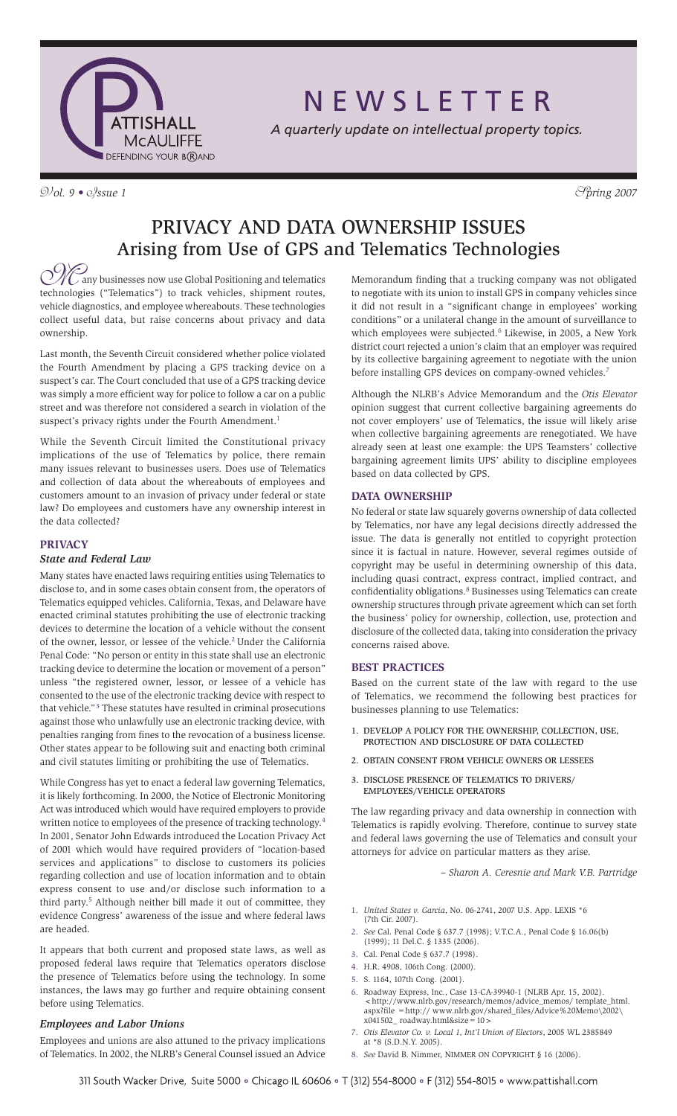

N E W S L E T T E R

*A quarterly update on intellectual property topics.*

 $\mathcal{D}/\mathcal{O}l$ . 9 •  $\mathcal{O}/\mathcal{S}$ *ssue 1*  $\mathcal{S}/\mathcal{O}l$ 

# Privacy and Data Ownership Issues Arising from Use of GPS and Telematics Technologies

**ONG** any businesses now use Global Positioning and telematics technologies ("Telematics") to track vehicles, shipment routes, any businesses now use Global Positioning and telematics vehicle diagnostics, and employee whereabouts. These technologies collect useful data, but raise concerns about privacy and data ownership.

Last month, the Seventh Circuit considered whether police violated the Fourth Amendment by placing a GPS tracking device on a suspect's car. The Court concluded that use of a GPS tracking device was simply a more efficient way for police to follow a car on a public street and was therefore not considered a search in violation of the suspect's privacy rights under the Fourth Amendment.<sup>1</sup>

While the Seventh Circuit limited the Constitutional privacy implications of the use of Telematics by police, there remain many issues relevant to businesses users. Does use of Telematics and collection of data about the whereabouts of employees and customers amount to an invasion of privacy under federal or state law? Do employees and customers have any ownership interest in the data collected?

# **PRIVACY**

# *State and Federal Law*

Many states have enacted laws requiring entities using Telematics to disclose to, and in some cases obtain consent from, the operators of Telematics equipped vehicles. California, Texas, and Delaware have enacted criminal statutes prohibiting the use of electronic tracking devices to determine the location of a vehicle without the consent of the owner, lessor, or lessee of the vehicle.<sup>2</sup> Under the California Penal Code: "No person or entity in this state shall use an electronic tracking device to determine the location or movement of a person" unless "the registered owner, lessor, or lessee of a vehicle has consented to the use of the electronic tracking device with respect to that vehicle."<sup>3</sup> These statutes have resulted in criminal prosecutions against those who unlawfully use an electronic tracking device, with penalties ranging from fines to the revocation of a business license. Other states appear to be following suit and enacting both criminal and civil statutes limiting or prohibiting the use of Telematics.

While Congress has yet to enact a federal law governing Telematics, it is likely forthcoming. In 2000, the Notice of Electronic Monitoring Act was introduced which would have required employers to provide written notice to employees of the presence of tracking technology.<sup>4</sup> In 2001, Senator John Edwards introduced the Location Privacy Act of 2001 which would have required providers of "location-based services and applications" to disclose to customers its policies regarding collection and use of location information and to obtain express consent to use and/or disclose such information to a third party.<sup>5</sup> Although neither bill made it out of committee, they evidence Congress' awareness of the issue and where federal laws are headed.

It appears that both current and proposed state laws, as well as proposed federal laws require that Telematics operators disclose the presence of Telematics before using the technology. In some instances, the laws may go further and require obtaining consent before using Telematics.

# *Employees and Labor Unions*

Employees and unions are also attuned to the privacy implications of Telematics. In 2002, the NLRB's General Counsel issued an Advice Memorandum finding that a trucking company was not obligated to negotiate with its union to install GPS in company vehicles since it did not result in a "significant change in employees' working conditions" or a unilateral change in the amount of surveillance to which employees were subjected.<sup>6</sup> Likewise, in 2005, a New York district court rejected a union's claim that an employer was required by its collective bargaining agreement to negotiate with the union before installing GPS devices on company-owned vehicles.<sup>7</sup>

Although the NLRB's Advice Memorandum and the *Otis Elevator*  opinion suggest that current collective bargaining agreements do not cover employers' use of Telematics, the issue will likely arise when collective bargaining agreements are renegotiated. We have already seen at least one example: the UPS Teamsters' collective bargaining agreement limits UPS' ability to discipline employees based on data collected by GPS.

## **DATA OWNERSHIP**

No federal or state law squarely governs ownership of data collected by Telematics, nor have any legal decisions directly addressed the issue. The data is generally not entitled to copyright protection since it is factual in nature. However, several regimes outside of copyright may be useful in determining ownership of this data, including quasi contract, express contract, implied contract, and confidentiality obligations.<sup>8</sup> Businesses using Telematics can create ownership structures through private agreement which can set forth the business' policy for ownership, collection, use, protection and disclosure of the collected data, taking into consideration the privacy concerns raised above.

### **BEST PRACTICES**

Based on the current state of the law with regard to the use of Telematics, we recommend the following best practices for businesses planning to use Telematics:

- 1. Develop a Policy for the Ownership, Collection, Use, Protection and Disclosure of Data Collected
- 2. Obtain Consent from Vehicle Owners or Lessees
- 3. Disclose Presence of Telematics to Drivers/ Employees/Vehicle Operators

The law regarding privacy and data ownership in connection with Telematics is rapidly evolving. Therefore, continue to survey state and federal laws governing the use of Telematics and consult your attorneys for advice on particular matters as they arise.

*– Sharon A. Ceresnie and Mark V.B. Partridge*

- 1. *United States v. Garcia*, No. 06-2741, 2007 U.S. App. LEXIS \*6 (7th Cir. 2007).
- 2. *See* Cal. Penal Code § 637.7 (1998); V.T.C.A., Penal Code § 16.06(b) (1999); 11 Del.C. § 1335 (2006).
- 3. Cal. Penal Code § 637.7 (1998).
- 4. H.R. 4908, 106th Cong. (2000).
- 5. S. 1164, 107th Cong. (2001).
- 6. Roadway Express, Inc., Case 13-CA-39940-1 (NLRB Apr. 15, 2002). <http://www.nlrb.gov/research/memos/advice\_memos/ template\_html. aspx?file =http:// www.nlrb.gov/shared\_files/Advice%20Memo\2002\ x041502\_ roadway.html&size=10>
- 7. *Otis Elevator Co. v. Local 1, Int'l Union of Electors*, 2005 WL 2385849 at \*8 (S.D.N.Y. 2005).
- 8. *See* David B. Nimmer, NIMMER ON COPYRIGHT § 16 (2006).